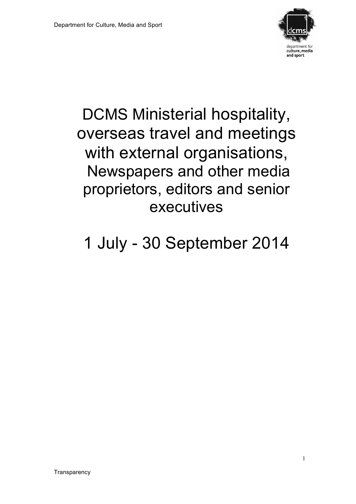

# DCMS Ministerial hospitality, overseas travel and meetings with external organisations, Newspapers and other media proprietors, editors and senior executives

# 1 July - 30 September 2014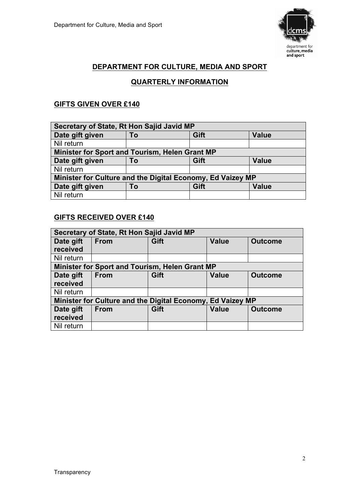

# **DEPARTMENT FOR CULTURE, MEDIA AND SPORT**

#### **QUARTERLY INFORMATION**

# **GIFTS GIVEN OVER £140**

| Secretary of State, Rt Hon Sajid Javid MP                  |    |      |              |
|------------------------------------------------------------|----|------|--------------|
| Date gift given                                            | To | Gift | <b>Value</b> |
| Nil return                                                 |    |      |              |
| Minister for Sport and Tourism, Helen Grant MP             |    |      |              |
| Date gift given                                            | To | Gift | <b>Value</b> |
| Nil return                                                 |    |      |              |
| Minister for Culture and the Digital Economy, Ed Vaizey MP |    |      |              |
| Date gift given                                            | To | Gift | <b>Value</b> |
| Nil return                                                 |    |      |              |

#### **GIFTS RECEIVED OVER £140**

| Secretary of State, Rt Hon Sajid Javid MP |                                                            |      |              |                |
|-------------------------------------------|------------------------------------------------------------|------|--------------|----------------|
| Date gift                                 | <b>From</b>                                                | Gift | <b>Value</b> | <b>Outcome</b> |
| received                                  |                                                            |      |              |                |
| Nil return                                |                                                            |      |              |                |
|                                           | Minister for Sport and Tourism, Helen Grant MP             |      |              |                |
| Date gift                                 | <b>From</b>                                                | Gift | <b>Value</b> | <b>Outcome</b> |
| received                                  |                                                            |      |              |                |
| Nil return                                |                                                            |      |              |                |
|                                           | Minister for Culture and the Digital Economy, Ed Vaizey MP |      |              |                |
| Date gift                                 | <b>From</b>                                                | Gift | <b>Value</b> | <b>Outcome</b> |
| received                                  |                                                            |      |              |                |
| Nil return                                |                                                            |      |              |                |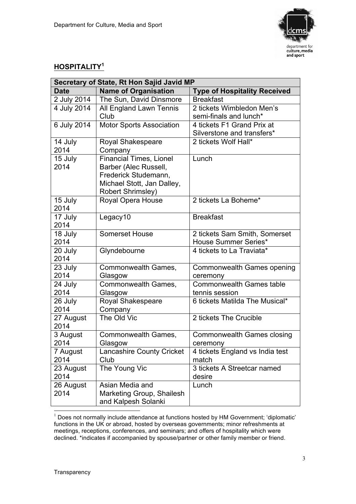

# **HOSPITALITY<sup>1</sup>**

| Secretary of State, Rt Hon Sajid Javid MP |                                  |                                     |  |
|-------------------------------------------|----------------------------------|-------------------------------------|--|
| <b>Date</b>                               | <b>Name of Organisation</b>      | <b>Type of Hospitality Received</b> |  |
| 2 July 2014                               | The Sun, David Dinsmore          | <b>Breakfast</b>                    |  |
| 4 July 2014                               | All England Lawn Tennis          | 2 tickets Wimbledon Men's           |  |
|                                           | Club                             | semi-finals and lunch*              |  |
| 6 July 2014                               | <b>Motor Sports Association</b>  | 4 tickets F1 Grand Prix at          |  |
|                                           |                                  | Silverstone and transfers*          |  |
| 14 July                                   | Royal Shakespeare                | 2 tickets Wolf Hall*                |  |
| 2014                                      | Company                          |                                     |  |
| 15 July                                   | <b>Financial Times, Lionel</b>   | Lunch                               |  |
| 2014                                      | Barber (Alec Russell,            |                                     |  |
|                                           | Frederick Studemann,             |                                     |  |
|                                           | Michael Stott, Jan Dalley,       |                                     |  |
|                                           | <b>Robert Shrimsley)</b>         |                                     |  |
| 15 July                                   | Royal Opera House                | 2 tickets La Boheme*                |  |
| 2014                                      |                                  |                                     |  |
| 17 July                                   | Legacy10                         | <b>Breakfast</b>                    |  |
| 2014                                      |                                  |                                     |  |
| 18 July                                   | <b>Somerset House</b>            | 2 tickets Sam Smith, Somerset       |  |
| 2014                                      |                                  | <b>House Summer Series*</b>         |  |
| 20 July                                   | Glyndebourne                     | 4 tickets to La Traviata*           |  |
| 2014                                      |                                  |                                     |  |
| 23 July                                   | Commonwealth Games,              | Commonwealth Games opening          |  |
| 2014                                      | Glasgow                          | ceremony                            |  |
| 24 July                                   | Commonwealth Games,              | <b>Commonwealth Games table</b>     |  |
| 2014                                      | Glasgow                          | tennis session                      |  |
| 26 July                                   | Royal Shakespeare                | 6 tickets Matilda The Musical*      |  |
| 2014                                      | Company                          |                                     |  |
| 27 August                                 | The Old Vic                      | 2 tickets The Crucible              |  |
| 2014                                      |                                  |                                     |  |
| 3 August                                  | Commonwealth Games,              | <b>Commonwealth Games closing</b>   |  |
| 2014                                      | Glasgow                          | ceremony                            |  |
| 7 August                                  | <b>Lancashire County Cricket</b> | 4 tickets England vs India test     |  |
| 2014                                      | Club                             | match                               |  |
| 23 August                                 | The Young Vic                    | 3 tickets A Streetcar named         |  |
| 2014                                      |                                  | desire                              |  |
| 26 August                                 | Asian Media and                  | Lunch                               |  |
| 2014                                      | Marketing Group, Shailesh        |                                     |  |
|                                           | and Kalpesh Solanki              |                                     |  |

 $1$  Does not normally include attendance at functions hosted by HM Government; 'diplomatic' functions in the UK or abroad, hosted by overseas governments; minor refreshments at meetings, receptions, conferences, and seminars; and offers of hospitality which were declined. \*indicates if accompanied by spouse/partner or other family member or friend.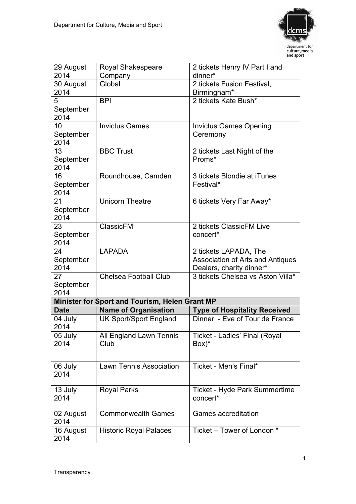

| 29 August   | <b>Royal Shakespeare</b>                       | 2 tickets Henry IV Part I and       |
|-------------|------------------------------------------------|-------------------------------------|
| 2014        | Company                                        | dinner*                             |
| 30 August   | Global                                         | 2 tickets Fusion Festival,          |
| 2014        |                                                | Birmingham*                         |
| 5           | <b>BPI</b>                                     | 2 tickets Kate Bush*                |
| September   |                                                |                                     |
| 2014        |                                                |                                     |
| 10          | <b>Invictus Games</b>                          | <b>Invictus Games Opening</b>       |
| September   |                                                | Ceremony                            |
| 2014        |                                                |                                     |
| 13          | <b>BBC Trust</b>                               | 2 tickets Last Night of the         |
| September   |                                                | Proms*                              |
| 2014        |                                                |                                     |
| 16          | Roundhouse, Camden                             | 3 tickets Blondie at iTunes         |
| September   |                                                | Festival*                           |
| 2014        |                                                |                                     |
| 21          | <b>Unicorn Theatre</b>                         | 6 tickets Very Far Away*            |
| September   |                                                |                                     |
| 2014        |                                                |                                     |
| 23          | ClassicFM                                      | 2 tickets ClassicFM Live            |
| September   |                                                | concert*                            |
| 2014        |                                                |                                     |
| 24          | <b>LAPADA</b>                                  | 2 tickets LAPADA, The               |
| September   |                                                | Association of Arts and Antiques    |
| 2014        |                                                | Dealers, charity dinner*            |
| 27          | <b>Chelsea Football Club</b>                   | 3 tickets Chelsea vs Aston Villa*   |
| September   |                                                |                                     |
| 2014        |                                                |                                     |
|             | Minister for Sport and Tourism, Helen Grant MP |                                     |
| <b>Date</b> | <b>Name of Organisation</b>                    | <b>Type of Hospitality Received</b> |
| 04 July     | <b>UK Sport/Sport England</b>                  | Dinner - Eve of Tour de France      |
| 2014        |                                                |                                     |
| 05 July     | All England Lawn Tennis                        | Ticket - Ladies' Final (Royal       |
| 2014        | Club                                           | $Box)^*$                            |
|             |                                                |                                     |
|             |                                                |                                     |
| 06 July     | <b>Lawn Tennis Association</b>                 | Ticket - Men's Final*               |
| 2014        |                                                |                                     |
|             |                                                |                                     |
| 13 July     | <b>Royal Parks</b>                             | Ticket - Hyde Park Summertime       |
| 2014        |                                                | concert*                            |
|             |                                                |                                     |
| 02 August   | <b>Commonwealth Games</b>                      | Games accreditation                 |
| 2014        |                                                |                                     |
| 16 August   | <b>Historic Royal Palaces</b>                  | Ticket – Tower of London *          |
| 2014        |                                                |                                     |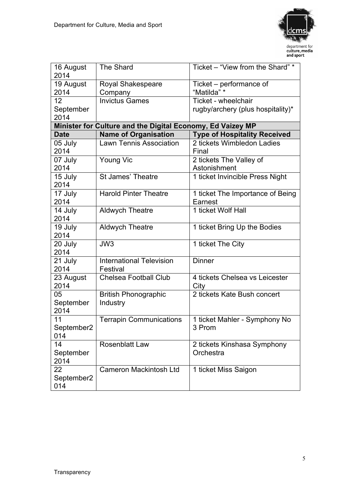

| Ticket – performance of<br>19 August<br><b>Royal Shakespeare</b><br>2014<br>"Matilda" *<br>Company<br><b>Invictus Games</b><br>Ticket - wheelchair<br>12 <sup>2</sup><br>September<br>rugby/archery (plus hospitality)*<br>2014<br>Minister for Culture and the Digital Economy, Ed Vaizey MP<br><b>Name of Organisation</b><br><b>Type of Hospitality Received</b><br><b>Date</b><br><b>Lawn Tennis Association</b><br>2 tickets Wimbledon Ladies<br>05 July<br>2014<br>Final<br>Young Vic<br>2 tickets The Valley of<br>07 July<br>2014<br>Astonishment<br>15 July<br><b>St James' Theatre</b><br>1 ticket Invincible Press Night<br>2014<br>17 July<br><b>Harold Pinter Theatre</b><br>1 ticket The Importance of Being<br>2014<br>Earnest<br>1 ticket Wolf Hall<br>Aldwych Theatre<br>14 July<br>2014<br>19 July<br><b>Aldwych Theatre</b><br>1 ticket Bring Up the Bodies<br>2014<br>JW <sub>3</sub><br>1 ticket The City<br>20 July<br>2014<br><b>Dinner</b><br><b>International Television</b><br>21 July<br>2014<br>Festival<br><b>Chelsea Football Club</b><br>23 August<br>4 tickets Chelsea vs Leicester<br>2014<br>City<br>2 tickets Kate Bush concert<br><b>British Phonographic</b><br>05<br>September<br>Industry<br>2014<br><b>Terrapin Communications</b><br>1 ticket Mahler - Symphony No<br>11<br>September2<br>3 Prom<br>014<br>14<br>Rosenblatt Law<br>2 tickets Kinshasa Symphony<br>September<br>Orchestra<br>2014<br>Cameron Mackintosh Ltd<br>22<br>1 ticket Miss Saigon<br>September2 | 16 August | <b>The Shard</b> | Ticket – "View from the Shard" * |
|-----------------------------------------------------------------------------------------------------------------------------------------------------------------------------------------------------------------------------------------------------------------------------------------------------------------------------------------------------------------------------------------------------------------------------------------------------------------------------------------------------------------------------------------------------------------------------------------------------------------------------------------------------------------------------------------------------------------------------------------------------------------------------------------------------------------------------------------------------------------------------------------------------------------------------------------------------------------------------------------------------------------------------------------------------------------------------------------------------------------------------------------------------------------------------------------------------------------------------------------------------------------------------------------------------------------------------------------------------------------------------------------------------------------------------------------------------------------------------------------------------------------|-----------|------------------|----------------------------------|
|                                                                                                                                                                                                                                                                                                                                                                                                                                                                                                                                                                                                                                                                                                                                                                                                                                                                                                                                                                                                                                                                                                                                                                                                                                                                                                                                                                                                                                                                                                                 | 2014      |                  |                                  |
|                                                                                                                                                                                                                                                                                                                                                                                                                                                                                                                                                                                                                                                                                                                                                                                                                                                                                                                                                                                                                                                                                                                                                                                                                                                                                                                                                                                                                                                                                                                 |           |                  |                                  |
|                                                                                                                                                                                                                                                                                                                                                                                                                                                                                                                                                                                                                                                                                                                                                                                                                                                                                                                                                                                                                                                                                                                                                                                                                                                                                                                                                                                                                                                                                                                 |           |                  |                                  |
|                                                                                                                                                                                                                                                                                                                                                                                                                                                                                                                                                                                                                                                                                                                                                                                                                                                                                                                                                                                                                                                                                                                                                                                                                                                                                                                                                                                                                                                                                                                 |           |                  |                                  |
|                                                                                                                                                                                                                                                                                                                                                                                                                                                                                                                                                                                                                                                                                                                                                                                                                                                                                                                                                                                                                                                                                                                                                                                                                                                                                                                                                                                                                                                                                                                 |           |                  |                                  |
|                                                                                                                                                                                                                                                                                                                                                                                                                                                                                                                                                                                                                                                                                                                                                                                                                                                                                                                                                                                                                                                                                                                                                                                                                                                                                                                                                                                                                                                                                                                 |           |                  |                                  |
|                                                                                                                                                                                                                                                                                                                                                                                                                                                                                                                                                                                                                                                                                                                                                                                                                                                                                                                                                                                                                                                                                                                                                                                                                                                                                                                                                                                                                                                                                                                 |           |                  |                                  |
|                                                                                                                                                                                                                                                                                                                                                                                                                                                                                                                                                                                                                                                                                                                                                                                                                                                                                                                                                                                                                                                                                                                                                                                                                                                                                                                                                                                                                                                                                                                 |           |                  |                                  |
|                                                                                                                                                                                                                                                                                                                                                                                                                                                                                                                                                                                                                                                                                                                                                                                                                                                                                                                                                                                                                                                                                                                                                                                                                                                                                                                                                                                                                                                                                                                 |           |                  |                                  |
|                                                                                                                                                                                                                                                                                                                                                                                                                                                                                                                                                                                                                                                                                                                                                                                                                                                                                                                                                                                                                                                                                                                                                                                                                                                                                                                                                                                                                                                                                                                 |           |                  |                                  |
|                                                                                                                                                                                                                                                                                                                                                                                                                                                                                                                                                                                                                                                                                                                                                                                                                                                                                                                                                                                                                                                                                                                                                                                                                                                                                                                                                                                                                                                                                                                 |           |                  |                                  |
|                                                                                                                                                                                                                                                                                                                                                                                                                                                                                                                                                                                                                                                                                                                                                                                                                                                                                                                                                                                                                                                                                                                                                                                                                                                                                                                                                                                                                                                                                                                 |           |                  |                                  |
|                                                                                                                                                                                                                                                                                                                                                                                                                                                                                                                                                                                                                                                                                                                                                                                                                                                                                                                                                                                                                                                                                                                                                                                                                                                                                                                                                                                                                                                                                                                 |           |                  |                                  |
|                                                                                                                                                                                                                                                                                                                                                                                                                                                                                                                                                                                                                                                                                                                                                                                                                                                                                                                                                                                                                                                                                                                                                                                                                                                                                                                                                                                                                                                                                                                 |           |                  |                                  |
|                                                                                                                                                                                                                                                                                                                                                                                                                                                                                                                                                                                                                                                                                                                                                                                                                                                                                                                                                                                                                                                                                                                                                                                                                                                                                                                                                                                                                                                                                                                 |           |                  |                                  |
|                                                                                                                                                                                                                                                                                                                                                                                                                                                                                                                                                                                                                                                                                                                                                                                                                                                                                                                                                                                                                                                                                                                                                                                                                                                                                                                                                                                                                                                                                                                 |           |                  |                                  |
|                                                                                                                                                                                                                                                                                                                                                                                                                                                                                                                                                                                                                                                                                                                                                                                                                                                                                                                                                                                                                                                                                                                                                                                                                                                                                                                                                                                                                                                                                                                 |           |                  |                                  |
|                                                                                                                                                                                                                                                                                                                                                                                                                                                                                                                                                                                                                                                                                                                                                                                                                                                                                                                                                                                                                                                                                                                                                                                                                                                                                                                                                                                                                                                                                                                 |           |                  |                                  |
|                                                                                                                                                                                                                                                                                                                                                                                                                                                                                                                                                                                                                                                                                                                                                                                                                                                                                                                                                                                                                                                                                                                                                                                                                                                                                                                                                                                                                                                                                                                 |           |                  |                                  |
|                                                                                                                                                                                                                                                                                                                                                                                                                                                                                                                                                                                                                                                                                                                                                                                                                                                                                                                                                                                                                                                                                                                                                                                                                                                                                                                                                                                                                                                                                                                 |           |                  |                                  |
|                                                                                                                                                                                                                                                                                                                                                                                                                                                                                                                                                                                                                                                                                                                                                                                                                                                                                                                                                                                                                                                                                                                                                                                                                                                                                                                                                                                                                                                                                                                 |           |                  |                                  |
|                                                                                                                                                                                                                                                                                                                                                                                                                                                                                                                                                                                                                                                                                                                                                                                                                                                                                                                                                                                                                                                                                                                                                                                                                                                                                                                                                                                                                                                                                                                 |           |                  |                                  |
|                                                                                                                                                                                                                                                                                                                                                                                                                                                                                                                                                                                                                                                                                                                                                                                                                                                                                                                                                                                                                                                                                                                                                                                                                                                                                                                                                                                                                                                                                                                 |           |                  |                                  |
|                                                                                                                                                                                                                                                                                                                                                                                                                                                                                                                                                                                                                                                                                                                                                                                                                                                                                                                                                                                                                                                                                                                                                                                                                                                                                                                                                                                                                                                                                                                 |           |                  |                                  |
|                                                                                                                                                                                                                                                                                                                                                                                                                                                                                                                                                                                                                                                                                                                                                                                                                                                                                                                                                                                                                                                                                                                                                                                                                                                                                                                                                                                                                                                                                                                 |           |                  |                                  |
|                                                                                                                                                                                                                                                                                                                                                                                                                                                                                                                                                                                                                                                                                                                                                                                                                                                                                                                                                                                                                                                                                                                                                                                                                                                                                                                                                                                                                                                                                                                 |           |                  |                                  |
|                                                                                                                                                                                                                                                                                                                                                                                                                                                                                                                                                                                                                                                                                                                                                                                                                                                                                                                                                                                                                                                                                                                                                                                                                                                                                                                                                                                                                                                                                                                 |           |                  |                                  |
|                                                                                                                                                                                                                                                                                                                                                                                                                                                                                                                                                                                                                                                                                                                                                                                                                                                                                                                                                                                                                                                                                                                                                                                                                                                                                                                                                                                                                                                                                                                 |           |                  |                                  |
|                                                                                                                                                                                                                                                                                                                                                                                                                                                                                                                                                                                                                                                                                                                                                                                                                                                                                                                                                                                                                                                                                                                                                                                                                                                                                                                                                                                                                                                                                                                 |           |                  |                                  |
|                                                                                                                                                                                                                                                                                                                                                                                                                                                                                                                                                                                                                                                                                                                                                                                                                                                                                                                                                                                                                                                                                                                                                                                                                                                                                                                                                                                                                                                                                                                 |           |                  |                                  |
|                                                                                                                                                                                                                                                                                                                                                                                                                                                                                                                                                                                                                                                                                                                                                                                                                                                                                                                                                                                                                                                                                                                                                                                                                                                                                                                                                                                                                                                                                                                 |           |                  |                                  |
|                                                                                                                                                                                                                                                                                                                                                                                                                                                                                                                                                                                                                                                                                                                                                                                                                                                                                                                                                                                                                                                                                                                                                                                                                                                                                                                                                                                                                                                                                                                 |           |                  |                                  |
|                                                                                                                                                                                                                                                                                                                                                                                                                                                                                                                                                                                                                                                                                                                                                                                                                                                                                                                                                                                                                                                                                                                                                                                                                                                                                                                                                                                                                                                                                                                 |           |                  |                                  |
|                                                                                                                                                                                                                                                                                                                                                                                                                                                                                                                                                                                                                                                                                                                                                                                                                                                                                                                                                                                                                                                                                                                                                                                                                                                                                                                                                                                                                                                                                                                 |           |                  |                                  |
|                                                                                                                                                                                                                                                                                                                                                                                                                                                                                                                                                                                                                                                                                                                                                                                                                                                                                                                                                                                                                                                                                                                                                                                                                                                                                                                                                                                                                                                                                                                 |           |                  |                                  |
|                                                                                                                                                                                                                                                                                                                                                                                                                                                                                                                                                                                                                                                                                                                                                                                                                                                                                                                                                                                                                                                                                                                                                                                                                                                                                                                                                                                                                                                                                                                 |           |                  |                                  |
|                                                                                                                                                                                                                                                                                                                                                                                                                                                                                                                                                                                                                                                                                                                                                                                                                                                                                                                                                                                                                                                                                                                                                                                                                                                                                                                                                                                                                                                                                                                 |           |                  |                                  |
|                                                                                                                                                                                                                                                                                                                                                                                                                                                                                                                                                                                                                                                                                                                                                                                                                                                                                                                                                                                                                                                                                                                                                                                                                                                                                                                                                                                                                                                                                                                 | 014       |                  |                                  |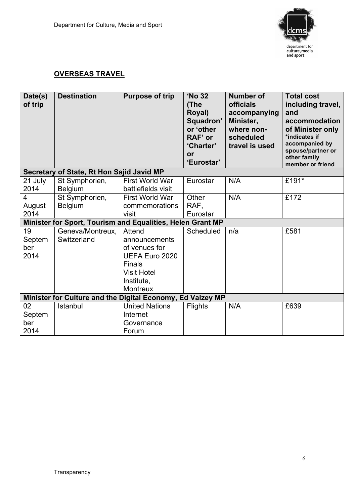

## **OVERSEAS TRAVEL**

| Date(s)<br>of trip          | <b>Destination</b>                                         | <b>Purpose of trip</b>                                                                                                      | 'No 32<br>(The<br>Royal)<br>Squadron'<br>or 'other<br>RAF' or<br>'Charter'<br><b>or</b><br>'Eurostar' | <b>Number of</b><br><b>officials</b><br>accompanying<br>Minister,<br>where non-<br>scheduled<br>travel is used | <b>Total cost</b><br>including travel,<br>and<br>accommodation<br>of Minister only<br>*indicates if<br>accompanied by<br>spouse/partner or<br>other family<br>member or friend |
|-----------------------------|------------------------------------------------------------|-----------------------------------------------------------------------------------------------------------------------------|-------------------------------------------------------------------------------------------------------|----------------------------------------------------------------------------------------------------------------|--------------------------------------------------------------------------------------------------------------------------------------------------------------------------------|
|                             | Secretary of State, Rt Hon Sajid Javid MP                  |                                                                                                                             |                                                                                                       |                                                                                                                |                                                                                                                                                                                |
| 21 July<br>2014             | St Symphorien,<br><b>Belgium</b>                           | First World War<br>battlefields visit                                                                                       | Eurostar                                                                                              | N/A                                                                                                            | £191*                                                                                                                                                                          |
| 4<br>August<br>2014         | St Symphorien,<br><b>Belgium</b>                           | First World War<br>commemorations<br>visit                                                                                  | Other<br>RAF.<br>Eurostar                                                                             | N/A                                                                                                            | £172                                                                                                                                                                           |
|                             | Minister for Sport, Tourism and Equalities, Helen Grant MP |                                                                                                                             |                                                                                                       |                                                                                                                |                                                                                                                                                                                |
| 19<br>Septem<br>ber<br>2014 | Geneva/Montreux,<br>Switzerland                            | Attend<br>announcements<br>of venues for<br>UEFA Euro 2020<br>Finals<br><b>Visit Hotel</b><br>Institute.<br><b>Montreux</b> | Scheduled                                                                                             | n/a                                                                                                            | £581                                                                                                                                                                           |
|                             | Minister for Culture and the Digital Economy, Ed Vaizey MP |                                                                                                                             |                                                                                                       |                                                                                                                |                                                                                                                                                                                |
| 02<br>Septem<br>ber<br>2014 | <b>Istanbul</b>                                            | <b>United Nations</b><br>Internet<br>Governance<br>Forum                                                                    | <b>Flights</b>                                                                                        | N/A                                                                                                            | £639                                                                                                                                                                           |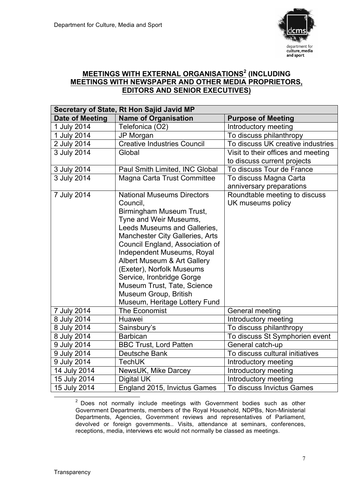

## **MEETINGS WITH EXTERNAL ORGANISATIONS<sup>2</sup> (INCLUDING MEETINGS WITH NEWSPAPER AND OTHER MEDIA PROPRIETORS, EDITORS AND SENIOR EXECUTIVES)**

| Secretary of State, Rt Hon Sajid Javid MP |                                    |                                    |  |
|-------------------------------------------|------------------------------------|------------------------------------|--|
| <b>Date of Meeting</b>                    | <b>Name of Organisation</b>        | <b>Purpose of Meeting</b>          |  |
| 1 July 2014                               | Telefonica (O2)                    | Introductory meeting               |  |
| 1 July 2014                               | JP Morgan                          | To discuss philanthropy            |  |
| 2 July 2014                               | <b>Creative Industries Council</b> | To discuss UK creative industries  |  |
| 3 July 2014                               | Global                             | Visit to their offices and meeting |  |
|                                           |                                    | to discuss current projects        |  |
| 3 July 2014                               | Paul Smith Limited, INC Global     | To discuss Tour de France          |  |
| 3 July 2014                               | Magna Carta Trust Committee        | To discuss Magna Carta             |  |
|                                           |                                    | anniversary preparations           |  |
| 7 July 2014                               | <b>National Museums Directors</b>  | Roundtable meeting to discuss      |  |
|                                           | Council.                           | UK museums policy                  |  |
|                                           | Birmingham Museum Trust,           |                                    |  |
|                                           | Tyne and Weir Museums,             |                                    |  |
|                                           | Leeds Museums and Galleries,       |                                    |  |
|                                           | Manchester City Galleries, Arts    |                                    |  |
|                                           | Council England, Association of    |                                    |  |
|                                           | Independent Museums, Royal         |                                    |  |
|                                           | Albert Museum & Art Gallery        |                                    |  |
|                                           | (Exeter), Norfolk Museums          |                                    |  |
|                                           | Service, Ironbridge Gorge          |                                    |  |
|                                           | Museum Trust, Tate, Science        |                                    |  |
|                                           | Museum Group, British              |                                    |  |
|                                           | Museum, Heritage Lottery Fund      |                                    |  |
| 7 July 2014                               | The Economist                      | General meeting                    |  |
| 8 July 2014                               | Huawei                             | Introductory meeting               |  |
| 8 July 2014                               | Sainsbury's                        | To discuss philanthropy            |  |
| 8 July 2014                               | <b>Barbican</b>                    | To discuss St Symphorien event     |  |
| 9 July 2014                               | <b>BBC Trust, Lord Patten</b>      | General catch-up                   |  |
| 9 July 2014                               | Deutsche Bank                      | To discuss cultural initiatives    |  |
| 9 July 2014                               | <b>TechUK</b>                      | Introductory meeting               |  |
| 14 July 2014                              | NewsUK, Mike Darcey                | Introductory meeting               |  |
| 15 July 2014                              | Digital UK                         | Introductory meeting               |  |
| 15 July 2014                              | England 2015, Invictus Games       | To discuss Invictus Games          |  |

 $2$  Does not normally include meetings with Government bodies such as other Government Departments, members of the Royal Household, NDPBs, Non-Ministerial Departments, Agencies, Government reviews and representatives of Parliament, devolved or foreign governments.. Visits, attendance at seminars, conferences, receptions, media, interviews etc would not normally be classed as meetings.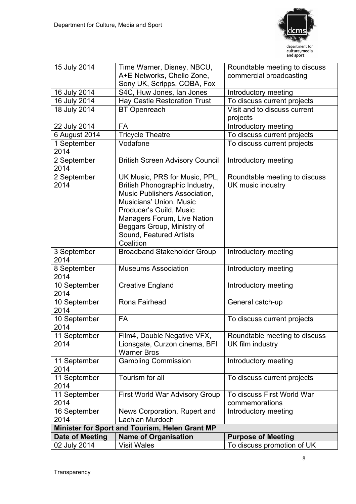

| 15 July 2014         | Time Warner, Disney, NBCU,                                | Roundtable meeting to discuss |
|----------------------|-----------------------------------------------------------|-------------------------------|
|                      | A+E Networks, Chello Zone,                                | commercial broadcasting       |
|                      | Sony UK, Scripps, COBA, Fox                               |                               |
| 16 July 2014         | S4C, Huw Jones, Ian Jones                                 | Introductory meeting          |
| 16 July 2014         | Hay Castle Restoration Trust                              | To discuss current projects   |
| 18 July 2014         | <b>BT</b> Openreach                                       | Visit and to discuss current  |
|                      |                                                           | projects                      |
| 22 July 2014         | <b>FA</b>                                                 | Introductory meeting          |
| 6 August 2014        | <b>Tricycle Theatre</b>                                   | To discuss current projects   |
| 1 September          | Vodafone                                                  | To discuss current projects   |
| 2014                 |                                                           |                               |
| 2 September          | <b>British Screen Advisory Council</b>                    | Introductory meeting          |
| 2014                 |                                                           |                               |
| 2 September          | UK Music, PRS for Music, PPL,                             | Roundtable meeting to discuss |
| 2014                 | British Phonographic Industry,                            | UK music industry             |
|                      | Music Publishers Association,                             |                               |
|                      | Musicians' Union, Music                                   |                               |
|                      | Producer's Guild, Music                                   |                               |
|                      | Managers Forum, Live Nation<br>Beggars Group, Ministry of |                               |
|                      | Sound, Featured Artists                                   |                               |
|                      | Coalition                                                 |                               |
| 3 September          | <b>Broadband Stakeholder Group</b>                        | Introductory meeting          |
| 2014                 |                                                           |                               |
| 8 September          | <b>Museums Association</b>                                | Introductory meeting          |
| 2014                 |                                                           |                               |
| 10 September         | <b>Creative England</b>                                   | Introductory meeting          |
| 2014                 |                                                           |                               |
| 10 September         | Rona Fairhead                                             | General catch-up              |
| 2014                 |                                                           |                               |
| 10 September         | <b>FA</b>                                                 | To discuss current projects   |
| 2014                 |                                                           |                               |
| 11 September         | Film4, Double Negative VFX,                               | Roundtable meeting to discuss |
| 2014                 | Lionsgate, Curzon cinema, BFI                             | UK film industry              |
|                      | <b>Warner Bros</b>                                        |                               |
| 11 September         | <b>Gambling Commission</b>                                | Introductory meeting          |
| 2014                 |                                                           |                               |
| 11 September         | Tourism for all                                           | To discuss current projects   |
| 2014                 |                                                           |                               |
| 11 September         | <b>First World War Advisory Group</b>                     | To discuss First World War    |
| 2014                 |                                                           | commemorations                |
| 16 September<br>2014 | News Corporation, Rupert and<br>Lachlan Murdoch           | Introductory meeting          |
|                      | Minister for Sport and Tourism, Helen Grant MP            |                               |
| Date of Meeting      | <b>Name of Organisation</b>                               | <b>Purpose of Meeting</b>     |
| 02 July 2014         | <b>Visit Wales</b>                                        | To discuss promotion of UK    |
|                      |                                                           |                               |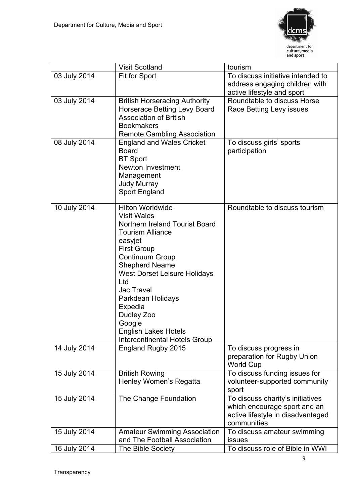

|              | <b>Visit Scotland</b>                                                                                                                                                                                                                                                                                                                                                                     | tourism                                                                                                              |
|--------------|-------------------------------------------------------------------------------------------------------------------------------------------------------------------------------------------------------------------------------------------------------------------------------------------------------------------------------------------------------------------------------------------|----------------------------------------------------------------------------------------------------------------------|
| 03 July 2014 | Fit for Sport                                                                                                                                                                                                                                                                                                                                                                             | To discuss initiative intended to<br>address engaging children with<br>active lifestyle and sport                    |
| 03 July 2014 | <b>British Horseracing Authority</b><br>Horserace Betting Levy Board<br><b>Association of British</b><br><b>Bookmakers</b><br><b>Remote Gambling Association</b>                                                                                                                                                                                                                          | Roundtable to discuss Horse<br>Race Betting Levy issues                                                              |
| 08 July 2014 | <b>England and Wales Cricket</b><br><b>Board</b><br><b>BT</b> Sport<br><b>Newton Investment</b><br>Management<br><b>Judy Murray</b><br>Sport England                                                                                                                                                                                                                                      | To discuss girls' sports<br>participation                                                                            |
| 10 July 2014 | <b>Hilton Worldwide</b><br><b>Visit Wales</b><br>Northern Ireland Tourist Board<br><b>Tourism Alliance</b><br>easyjet<br><b>First Group</b><br><b>Continuum Group</b><br><b>Shepherd Neame</b><br><b>West Dorset Leisure Holidays</b><br>Ltd<br>Jac Travel<br>Parkdean Holidays<br>Expedia<br>Dudley Zoo<br>Google<br><b>English Lakes Hotels</b><br><b>Intercontinental Hotels Group</b> | Roundtable to discuss tourism                                                                                        |
| 14 July 2014 | England Rugby 2015                                                                                                                                                                                                                                                                                                                                                                        | To discuss progress in<br>preparation for Rugby Union<br><b>World Cup</b>                                            |
| 15 July 2014 | <b>British Rowing</b><br>Henley Women's Regatta                                                                                                                                                                                                                                                                                                                                           | To discuss funding issues for<br>volunteer-supported community<br>sport                                              |
| 15 July 2014 | The Change Foundation                                                                                                                                                                                                                                                                                                                                                                     | To discuss charity's initiatives<br>which encourage sport and an<br>active lifestyle in disadvantaged<br>communities |
| 15 July 2014 | <b>Amateur Swimming Association</b><br>and The Football Association                                                                                                                                                                                                                                                                                                                       | To discuss amateur swimming<br>issues                                                                                |
| 16 July 2014 | The Bible Society                                                                                                                                                                                                                                                                                                                                                                         | To discuss role of Bible in WWI                                                                                      |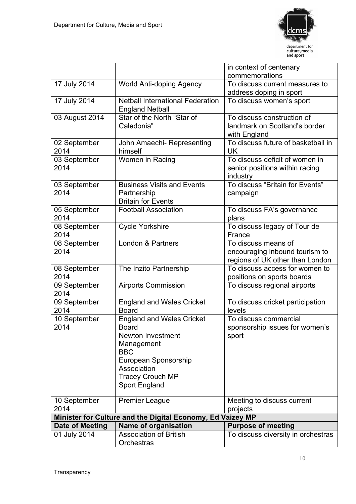

| 01 July 2014           | <b>Association of British</b><br>Orchestras                                   | To discuss diversity in orchestras                                                       |
|------------------------|-------------------------------------------------------------------------------|------------------------------------------------------------------------------------------|
| <b>Date of Meeting</b> | Name of organisation                                                          | <b>Purpose of meeting</b>                                                                |
|                        | Minister for Culture and the Digital Economy, Ed Vaizey MP                    |                                                                                          |
| 2014                   |                                                                               | projects                                                                                 |
| 10 September           | <b>Sport England</b><br><b>Premier League</b>                                 | Meeting to discuss current                                                               |
|                        | Association<br><b>Tracey Crouch MP</b>                                        |                                                                                          |
|                        | Management<br><b>BBC</b><br>European Sponsorship                              |                                                                                          |
| 10 September<br>2014   | <b>England and Wales Cricket</b><br><b>Board</b><br>Newton Investment         | To discuss commercial<br>sponsorship issues for women's<br>sport                         |
| 09 September<br>2014   | <b>England and Wales Cricket</b><br><b>Board</b>                              | To discuss cricket participation<br>levels                                               |
| 09 September<br>2014   | <b>Airports Commission</b>                                                    | To discuss regional airports                                                             |
| 08 September<br>2014   | The Inzito Partnership                                                        | To discuss access for women to<br>positions on sports boards                             |
| 08 September<br>2014   | London & Partners                                                             | To discuss means of<br>encouraging inbound tourism to<br>regions of UK other than London |
| 08 September<br>2014   | <b>Cycle Yorkshire</b>                                                        | To discuss legacy of Tour de<br>France                                                   |
| 05 September<br>2014   | <b>Football Association</b>                                                   | To discuss FA's governance<br>plans                                                      |
| 03 September<br>2014   | <b>Business Visits and Events</b><br>Partnership<br><b>Britain for Events</b> | To discuss "Britain for Events"<br>campaign                                              |
| 03 September<br>2014   | Women in Racing                                                               | To discuss deficit of women in<br>senior positions within racing<br>industry             |
| 02 September<br>2014   | John Amaechi- Representing<br>himself                                         | To discuss future of basketball in<br>UK                                                 |
| 03 August 2014         | Star of the North "Star of<br>Caledonia"                                      | To discuss construction of<br>landmark on Scotland's border<br>with England              |
| 17 July 2014           | <b>Netball International Federation</b><br><b>England Netball</b>             | To discuss women's sport                                                                 |
| 17 July 2014           | World Anti-doping Agency                                                      | To discuss current measures to<br>address doping in sport                                |
|                        |                                                                               | in context of centenary<br>commemorations                                                |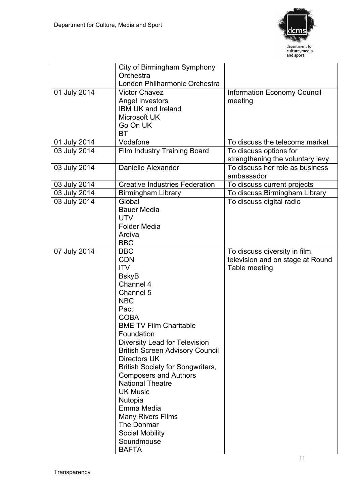

|              | City of Birmingham Symphony<br>Orchestra                                                                                                                                                                                                                                                                                                                                                                                                                                                                                   |                                                                                    |
|--------------|----------------------------------------------------------------------------------------------------------------------------------------------------------------------------------------------------------------------------------------------------------------------------------------------------------------------------------------------------------------------------------------------------------------------------------------------------------------------------------------------------------------------------|------------------------------------------------------------------------------------|
|              | London Philharmonic Orchestra                                                                                                                                                                                                                                                                                                                                                                                                                                                                                              |                                                                                    |
| 01 July 2014 | <b>Victor Chavez</b><br>Angel Investors<br><b>IBM UK and Ireland</b><br>Microsoft UK<br>Go On UK<br><b>BT</b>                                                                                                                                                                                                                                                                                                                                                                                                              | <b>Information Economy Council</b><br>meeting                                      |
| 01 July 2014 | Vodafone                                                                                                                                                                                                                                                                                                                                                                                                                                                                                                                   | To discuss the telecoms market                                                     |
| 03 July 2014 | Film Industry Training Board                                                                                                                                                                                                                                                                                                                                                                                                                                                                                               | To discuss options for<br>strengthening the voluntary levy                         |
| 03 July 2014 | Danielle Alexander                                                                                                                                                                                                                                                                                                                                                                                                                                                                                                         | To discuss her role as business<br>ambassador                                      |
| 03 July 2014 | <b>Creative Industries Federation</b>                                                                                                                                                                                                                                                                                                                                                                                                                                                                                      | To discuss current projects                                                        |
| 03 July 2014 | <b>Birmingham Library</b>                                                                                                                                                                                                                                                                                                                                                                                                                                                                                                  | To discuss Birmingham Library                                                      |
| 03 July 2014 | Global<br><b>Bauer Media</b><br><b>UTV</b><br><b>Folder Media</b><br>Arqiva<br><b>BBC</b>                                                                                                                                                                                                                                                                                                                                                                                                                                  | To discuss digital radio                                                           |
| 07 July 2014 | <b>BBC</b><br><b>CDN</b><br><b>ITV</b><br><b>BskyB</b><br>Channel 4<br>Channel 5<br><b>NBC</b><br>Pact<br><b>COBA</b><br><b>BME TV Film Charitable</b><br>Foundation<br>Diversity Lead for Television<br><b>British Screen Advisory Council</b><br><b>Directors UK</b><br><b>British Society for Songwriters,</b><br><b>Composers and Authors</b><br><b>National Theatre</b><br><b>UK Music</b><br>Nutopia<br>Emma Media<br><b>Many Rivers Films</b><br>The Donmar<br><b>Social Mobility</b><br>Soundmouse<br><b>BAFTA</b> | To discuss diversity in film,<br>television and on stage at Round<br>Table meeting |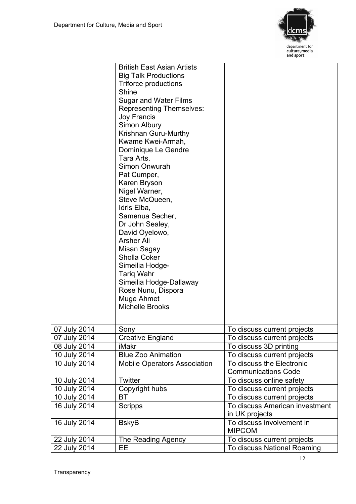

|              | <b>British East Asian Artists</b>   |                                |
|--------------|-------------------------------------|--------------------------------|
|              | <b>Big Talk Productions</b>         |                                |
|              |                                     |                                |
|              | <b>Triforce productions</b>         |                                |
|              | Shine                               |                                |
|              | <b>Sugar and Water Films</b>        |                                |
|              | <b>Representing Themselves:</b>     |                                |
|              | Joy Francis                         |                                |
|              | Simon Albury                        |                                |
|              | Krishnan Guru-Murthy                |                                |
|              | Kwame Kwei-Armah,                   |                                |
|              | Dominique Le Gendre                 |                                |
|              | Tara Arts.                          |                                |
|              | Simon Onwurah                       |                                |
|              | Pat Cumper,                         |                                |
|              | Karen Bryson                        |                                |
|              | Nigel Warner,                       |                                |
|              | Steve McQueen,                      |                                |
|              | Idris Elba,                         |                                |
|              | Samenua Secher,                     |                                |
|              | Dr John Sealey,                     |                                |
|              | David Oyelowo,                      |                                |
|              | <b>Arsher Ali</b>                   |                                |
|              | Misan Sagay                         |                                |
|              | <b>Sholla Coker</b>                 |                                |
|              |                                     |                                |
|              | Simeilia Hodge-                     |                                |
|              | <b>Tariq Wahr</b>                   |                                |
|              | Simeilia Hodge-Dallaway             |                                |
|              | Rose Nunu, Dispora                  |                                |
|              | Muge Ahmet                          |                                |
|              | <b>Michelle Brooks</b>              |                                |
|              |                                     |                                |
| 07 July 2014 | Sony                                | To discuss current projects    |
| 07 July 2014 | <b>Creative England</b>             | To discuss current projects    |
| 08 July 2014 | iMakr                               | To discuss 3D printing         |
| 10 July 2014 | <b>Blue Zoo Animation</b>           | To discuss current projects    |
| 10 July 2014 | <b>Mobile Operators Association</b> | To discuss the Electronic      |
|              |                                     | <b>Communications Code</b>     |
| 10 July 2014 | Twitter                             | To discuss online safety       |
| 10 July 2014 | Copyright hubs                      | To discuss current projects    |
| 10 July 2014 | <b>BT</b>                           | To discuss current projects    |
| 16 July 2014 | <b>Scripps</b>                      | To discuss American investment |
|              |                                     | in UK projects                 |
| 16 July 2014 | <b>BskyB</b>                        | To discuss involvement in      |
|              |                                     | <b>MIPCOM</b>                  |
|              |                                     |                                |
| 22 July 2014 | The Reading Agency                  | To discuss current projects    |
| 22 July 2014 | EE                                  | To discuss National Roaming    |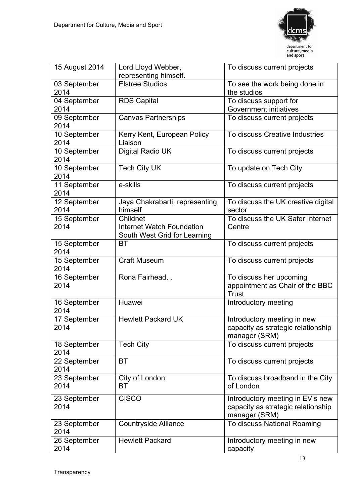

| 15 August 2014       | Lord Lloyd Webber,                     | To discuss current projects                  |
|----------------------|----------------------------------------|----------------------------------------------|
|                      | representing himself.                  |                                              |
| 03 September<br>2014 | <b>Elstree Studios</b>                 | To see the work being done in<br>the studios |
| 04 September         | <b>RDS Capital</b>                     | To discuss support for                       |
| 2014                 |                                        | <b>Government initiatives</b>                |
| 09 September         | <b>Canvas Partnerships</b>             | To discuss current projects                  |
| 2014                 |                                        |                                              |
| 10 September<br>2014 | Kerry Kent, European Policy<br>Liaison | To discuss Creative Industries               |
| 10 September<br>2014 | Digital Radio UK                       | To discuss current projects                  |
| 10 September         | <b>Tech City UK</b>                    | To update on Tech City                       |
| 2014                 |                                        |                                              |
| 11 September<br>2014 | e-skills                               | To discuss current projects                  |
| 12 September         | Jaya Chakrabarti, representing         | To discuss the UK creative digital           |
| 2014                 | himself                                | sector                                       |
| 15 September         | Childnet                               | To discuss the UK Safer Internet             |
| 2014                 | Internet Watch Foundation              | Centre                                       |
|                      | South West Grid for Learning           |                                              |
| 15 September<br>2014 | <b>BT</b>                              | To discuss current projects                  |
| 15 September<br>2014 | <b>Craft Museum</b>                    | To discuss current projects                  |
| 16 September         | Rona Fairhead,,                        | To discuss her upcoming                      |
| 2014                 |                                        | appointment as Chair of the BBC              |
|                      |                                        | Trust                                        |
| 16 September         | Huawei                                 | Introductory meeting                         |
| 2014                 |                                        |                                              |
| 17 September         | <b>Hewlett Packard UK</b>              | Introductory meeting in new                  |
| 2014                 |                                        | capacity as strategic relationship           |
|                      |                                        | manager (SRM)                                |
| 18 September<br>2014 | <b>Tech City</b>                       | To discuss current projects                  |
| 22 September         | <b>BT</b>                              | To discuss current projects                  |
| 2014                 |                                        |                                              |
| 23 September         | City of London                         | To discuss broadband in the City             |
| 2014                 | ВT                                     | of London                                    |
| 23 September         | <b>CISCO</b>                           | Introductory meeting in EV's new             |
| 2014                 |                                        | capacity as strategic relationship           |
|                      |                                        | manager (SRM)                                |
| 23 September         | <b>Countryside Alliance</b>            | To discuss National Roaming                  |
| 2014                 |                                        |                                              |
| 26 September         | <b>Hewlett Packard</b>                 | Introductory meeting in new                  |
| 2014                 |                                        | capacity                                     |